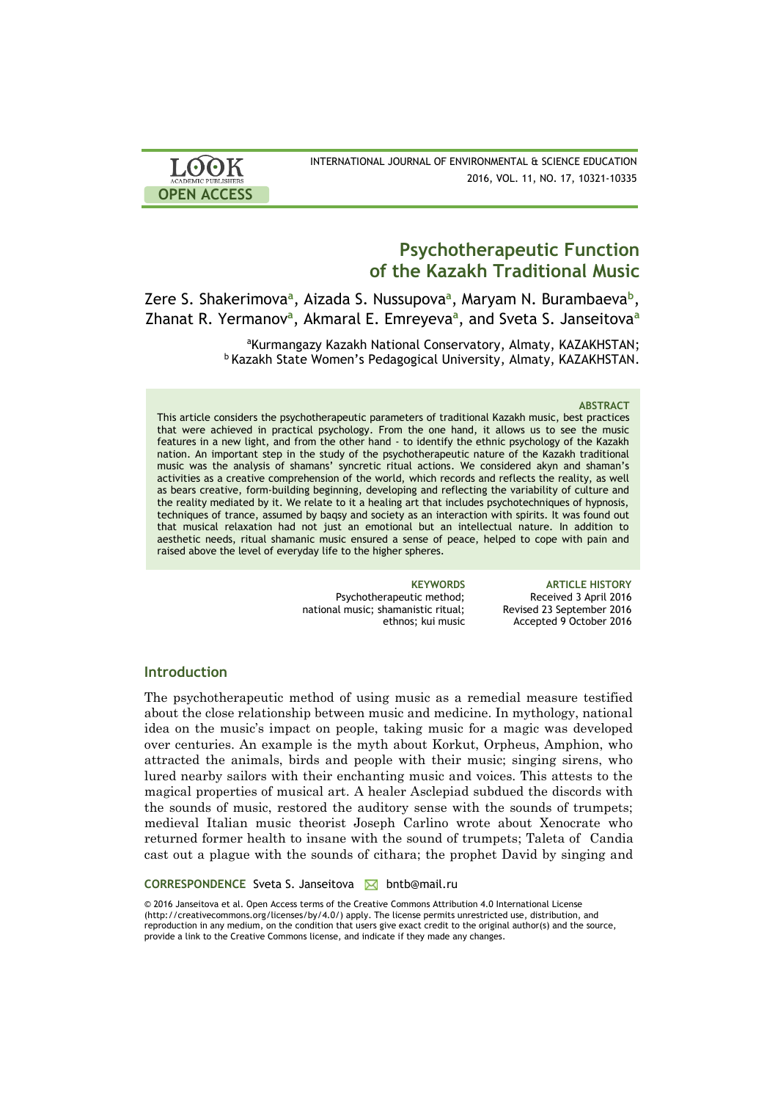

INTERNATIONAL JOURNAL OF ENVIRONMENTAL & SCIENCE EDUCATION 2016, VOL. 11, NO. 17, 10321-10335

# **Psychotherapeutic Function of the Kazakh Traditional Music**

# Zere S. Shakerimova<sup>a</sup>, Aizada S. Nussupova<sup>a</sup>, Maryam N. Burambaeva<sup>b</sup>, Zhanat R. Yermanov**<sup>a</sup>** , Akmaral E. Emreyeva**<sup>a</sup>** , and Sveta S. Janseitova**<sup>a</sup>**

aKurmangazy Kazakh National Conservatory, Almaty, [KAZAKHSTAN;](https://en.wikipedia.org/wiki/Kazakhstan) **b Kazakh State Women's Pedagogical University, Almaty, [KAZAKHSTAN.](https://en.wikipedia.org/wiki/Kazakhstan)** 

### **ABSTRACT**

This article considers the psychotherapeutic parameters of traditional Kazakh music, best practices that were achieved in practical psychology. From the one hand, it allows us to see the music features in a new light, and from the other hand - to identify the ethnic psychology of the Kazakh nation. An important step in the study of the psychotherapeutic nature of the Kazakh traditional music was the analysis of shamans' syncretic ritual actions. We considered akyn and shaman's activities as a creative comprehension of the world, which records and reflects the reality, as well as bears creative, form-building beginning, developing and reflecting the variability of culture and the reality mediated by it. We relate to it a healing art that includes psychotechniques of hypnosis, techniques of trance, assumed by baqsy and society as an interaction with spirits. It was found out that musical relaxation had not just an emotional but an intellectual nature. In addition to aesthetic needs, ritual shamanic music ensured a sense of peace, helped to cope with pain and raised above the level of everyday life to the higher spheres.

> Psychotherapeutic method; national music; shamanistic ritual; ethnos; kui music

**KEYWORDS ARTICLE HISTORY** Received 3 April 2016 Revised 23 September 2016 Accepted 9 October 2016

## **Introduction**

The psychotherapeutic method of using music as a remedial measure testified about the close relationship between music and medicine. In mythology, national idea on the music's impact on people, taking music for a magic was developed over centuries. An example is the myth about Korkut, Orpheus, Amphion, who attracted the animals, birds and people with their music; singing sirens, who lured nearby sailors with their enchanting music and voices. This attests to the magical properties of musical art. A healer Asclepiad subdued the discords with the sounds of music, restored the auditory sense with the sounds of trumpets; medieval Italian music theorist Joseph Carlino wrote about Xenocrate who returned former health to insane with the sound of trumpets; Taleta of Candia cast out a plague with the sounds of cithara; the prophet David by singing and

### **CORRESPONDENCE** Sveta S. Janseitova **⊠** bntb@mail.ru

© 2016 Janseitova et al. Open Access terms of the Creative Commons Attribution 4.0 International License (http://creativecommons.org/licenses/by/4.0/) apply. The license permits unrestricted use, distribution, and reproduction in any medium, on the condition that users give exact credit to the original author(s) and the source, provide a link to the Creative Commons license, and indicate if they made any changes.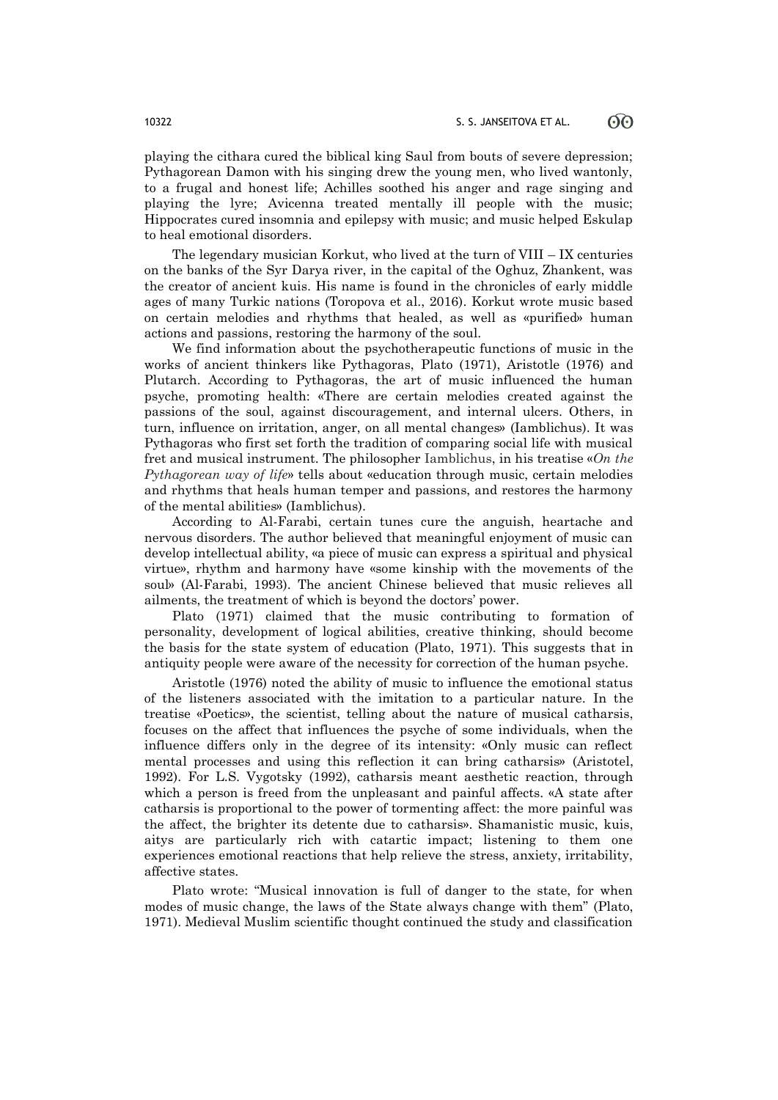playing the cithara cured the biblical king Saul from bouts of severe depression; Pythagorean Damon with his singing drew the young men, who lived wantonly, to a frugal and honest life; Achilles soothed his anger and rage singing and playing the lyre; Avicenna treated mentally ill people with the music; Hippocrates cured insomnia and epilepsy with music; and music helped Eskulap to heal emotional disorders.

The legendary musician Korkut, who lived at the turn of VIII – IX centuries on the banks of the Syr Darya river, in the capital of the Oghuz, Zhankent, was the creator of ancient kuis. His name is found in the chronicles of early middle ages of many Turkic nations (Toropova et al., 2016). Korkut wrote music based on certain melodies and rhythms that healed, as well as «purified» human actions and passions, restoring the harmony of the soul.

We find information about the psychotherapeutic functions of music in the works of ancient thinkers like Pythagoras, Plato (1971), Aristotle (1976) and Plutarch. According to Pythagoras, the art of music influenced the human psyche, promoting health: «There are certain melodies created against the passions of the soul, against discouragement, and internal ulcers. Others, in turn, influence on irritation, anger, on all mental changes» (Iamblichus). It was Pythagoras who first set forth the tradition of comparing social life with musical fret and musical instrument. The philosopher Iamblichus, in his treatise «*On the Pythagorean way of life*» tells about «education through music, certain melodies and rhythms that heals human temper and passions, and restores the harmony of the mental abilities» (Iamblichus).

According to Al-Farabi, certain tunes cure the anguish, heartache and nervous disorders. The author believed that meaningful enjoyment of music can develop intellectual ability, «a piece of music can express a spiritual and physical virtue», rhythm and harmony have «some kinship with the movements of the soul» (Al-Farabi, 1993). The ancient Chinese believed that music relieves all ailments, the treatment of which is beyond the doctors' power.

Plato (1971) claimed that the music contributing to formation of personality, development of logical abilities, creative thinking, should become the basis for the state system of education (Plato, 1971). This suggests that in antiquity people were aware of the necessity for correction of the human psyche.

Aristotle (1976) noted the ability of music to influence the emotional status of the listeners associated with the imitation to a particular nature. In the treatise «Poetics», the scientist, telling about the nature of musical catharsis, focuses on the affect that influences the psyche of some individuals, when the influence differs only in the degree of its intensity: «Only music can reflect mental processes and using this reflection it can bring catharsis» (Aristotel, 1992). For L.S. Vygotsky (1992), catharsis meant aesthetic reaction, through which a person is freed from the unpleasant and painful affects. «A state after catharsis is proportional to the power of tormenting affect: the more painful was the affect, the brighter its detente due to catharsis». Shamanistic music, kuis, aitys are particularly rich with catartic impact; listening to them one experiences emotional reactions that help relieve the stress, anxiety, irritability, affective states.

Plato wrote: "Musical innovation is full of danger to the state, for when modes of music change, the laws of the State always change with them" (Plato, 1971). Medieval Muslim scientific thought continued the study and classification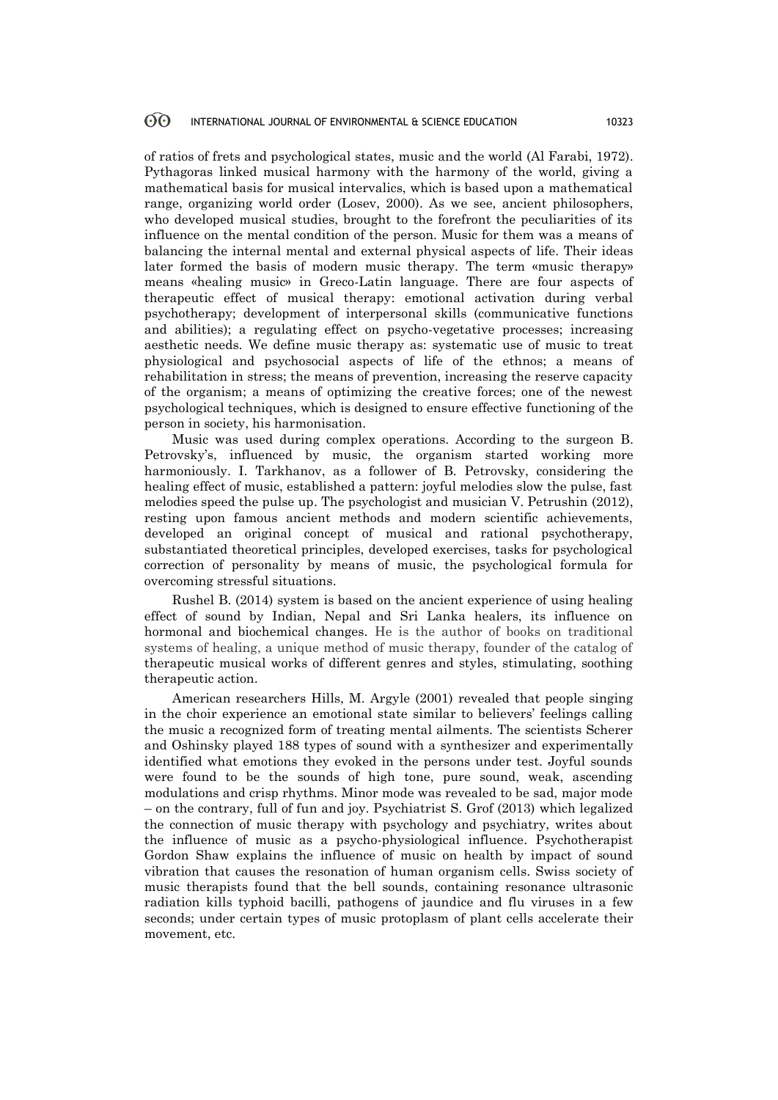of ratios of frets and psychological states, music and the world (Al Farabi, 1972). Pythagoras linked musical harmony with the harmony of the world, giving a mathematical basis for musical intervalics, which is based upon a mathematical range, organizing world order (Losev, 2000). As we see, ancient philosophers, who developed musical studies, brought to the forefront the peculiarities of its influence on the mental condition of the person. Music for them was a means of balancing the internal mental and external physical aspects of life. Their ideas later formed the basis of modern music therapy. The term «music therapy» means «healing music» in Greco-Latin language. There are four aspects of therapeutic effect of musical therapy: emotional activation during verbal psychotherapy; development of interpersonal skills (communicative functions and abilities); a regulating effect on psycho-vegetative processes; increasing aesthetic needs. We define music therapy as: systematic use of music to treat physiological and psychosocial aspects of life of the ethnos; a means of rehabilitation in stress; the means of prevention, increasing the reserve capacity of the organism; a means of optimizing the creative forces; one of the newest psychological techniques, which is designed to ensure effective functioning of the person in society, his harmonisation.

Music was used during complex operations. According to the surgeon B. Petrovsky's, influenced by music, the organism started working more harmoniously. I. Tarkhanov, as a follower of B. Petrovsky, considering the healing effect of music, established a pattern: joyful melodies slow the pulse, fast melodies speed the pulse up. The psychologist and musician V. Petrushin (2012), resting upon famous ancient methods and modern scientific achievements, developed an original concept of musical and rational psychotherapy, substantiated theoretical principles, developed exercises, tasks for psychological correction of personality by means of music, the psychological formula for overcoming stressful situations.

Rushel B. (2014) system is based on the ancient experience of using healing effect of sound by Indian, Nepal and Sri Lanka healers, its influence on hormonal and biochemical changes. He is the author of books on traditional systems of healing, a unique method of music therapy, founder of the catalog of therapeutic musical works of different genres and styles, stimulating, soothing therapeutic action.

American researchers Hills, М. Argyle (2001) revealed that people singing in the choir experience an emotional state similar to believers' feelings calling the music a recognized form of treating mental ailments. The scientists Scherer and Oshinsky played 188 types of sound with a synthesizer and experimentally identified what emotions they evoked in the persons under test. Joyful sounds were found to be the sounds of high tone, pure sound, weak, ascending modulations and crisp rhythms. Minor mode was revealed to be sad, major mode – on the contrary, full of fun and joy. Psychiatrist S. Grof (2013) which legalized the connection of music therapy with psychology and psychiatry, writes about the influence of music as a psycho-physiological influence. Psychotherapist Gordon Shaw explains the influence of music on health by impact of sound vibration that causes the resonation of human organism cells. Swiss society of music therapists found that the bell sounds, containing resonance ultrasonic radiation kills typhoid bacilli, pathogens of jaundice and flu viruses in a few seconds; under certain types of music protoplasm of plant cells accelerate their movement, etc.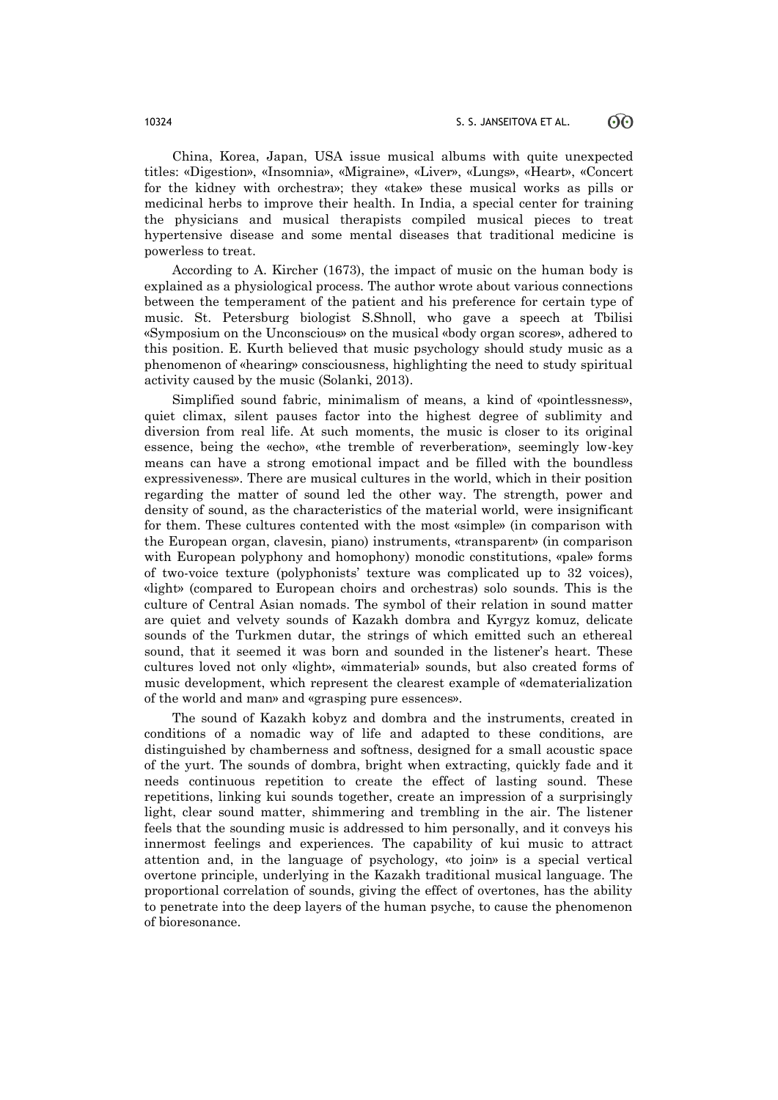China, Korea, Japan, USA issue musical albums with quite unexpected titles: «Digestion», «Insomnia», «Migraine», «Liver», «Lungs», «Heart», «Concert for the kidney with orchestra»; they «take» these musical works as pills or medicinal herbs to improve their health. In India, a special center for training the physicians and musical therapists compiled musical pieces to treat hypertensive disease and some mental diseases that traditional medicine is powerless to treat.

According to A. Kircher (1673), the impact of music on the human body is explained as a physiological process. The author wrote about various connections between the temperament of the patient and his preference for certain type of music. St. Petersburg biologist S.Shnoll, who gave a speech at Tbilisi «Symposium on the Unconscious» on the musical «body organ scores», adhered to this position. Е. Kurth believed that music psychology should study music as a phenomenon of «hearing» consciousness, highlighting the need to study spiritual activity caused by the music (Solanki, 2013).

Simplified sound fabric, minimalism of means, a kind of «pointlessness», quiet climax, silent pauses factor into the highest degree of sublimity and diversion from real life. At such moments, the music is closer to its original essence, being the «echo», «the tremble of reverberation», seemingly low-key means can have a strong emotional impact and be filled with the boundless expressiveness». There are musical cultures in the world, which in their position regarding the matter of sound led the other way. The strength, power and density of sound, as the characteristics of the material world, were insignificant for them. These cultures contented with the most «simple» (in comparison with the European organ, clavesin, piano) instruments, «transparent» (in comparison with European polyphony and homophony) monodic constitutions, «pale» forms of two-voice texture (polyphonists' texture was complicated up to 32 voices), «light» (compared to European choirs and orchestras) solo sounds. This is the culture of Central Asian nomads. The symbol of their relation in sound matter are quiet and velvety sounds of Kazakh dombra and Kyrgyz komuz, delicate sounds of the Turkmen dutar, the strings of which emitted such an ethereal sound, that it seemed it was born and sounded in the listener's heart. These cultures loved not only «light», «immaterial» sounds, but also created forms of music development, which represent the clearest example of «dematerialization of the world and man» and «grasping pure essences».

The sound of Kazakh kobyz and dombra and the instruments, created in conditions of a nomadic way of life and adapted to these conditions, are distinguished by chamberness and softness, designed for a small acoustic space of the yurt. The sounds of dombra, bright when extracting, quickly fade and it needs continuous repetition to create the effect of lasting sound. These repetitions, linking kui sounds together, create an impression of a surprisingly light, clear sound matter, shimmering and trembling in the air. The listener feels that the sounding music is addressed to him personally, and it conveys his innermost feelings and experiences. The capability of kui music to attract attention and, in the language of psychology, «to join» is a special vertical overtone principle, underlying in the Kazakh traditional musical language. The proportional correlation of sounds, giving the effect of overtones, has the ability to penetrate into the deep layers of the human psyche, to cause the phenomenon of bioresonance.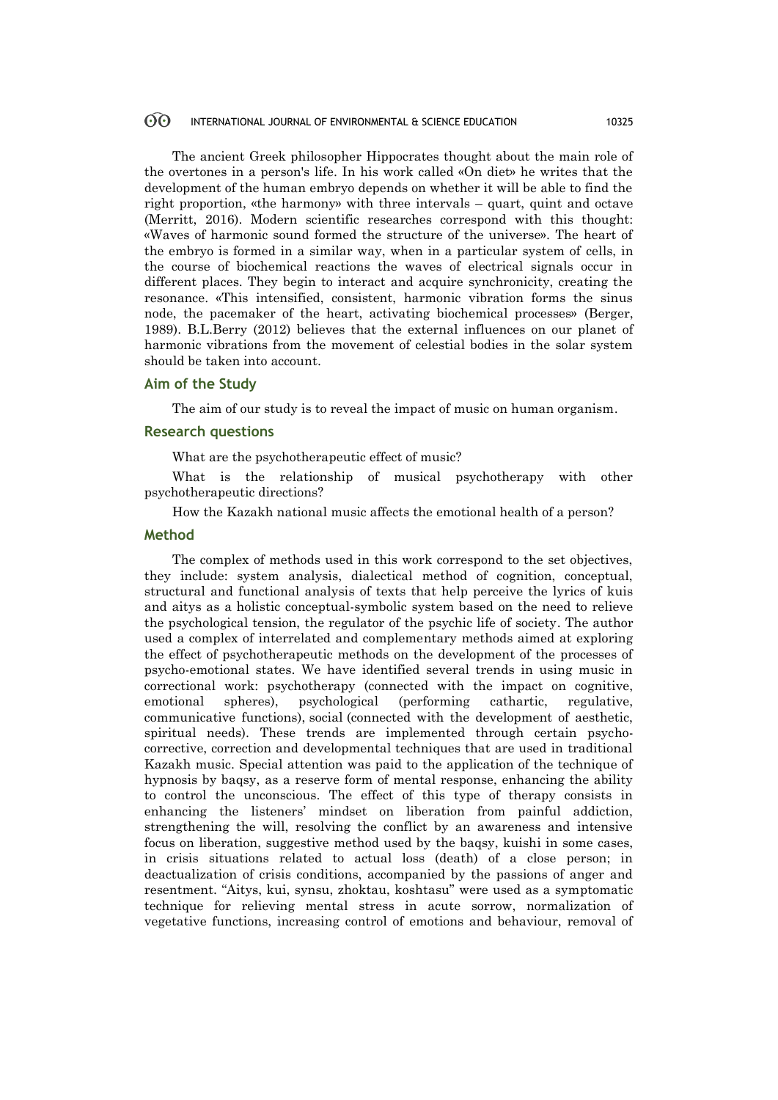The ancient Greek philosopher Hippocrates thought about the main role of the overtones in a person's life. In his work called «On diet» he writes that the development of the human embryo depends on whether it will be able to find the right proportion, «the harmony» with three intervals – quart, quint and octave (Merritt, 2016). Modern scientific researches correspond with this thought: «Waves of harmonic sound formed the structure of the universe». The heart of the embryo is formed in a similar way, when in a particular system of cells, in the course of biochemical reactions the waves of electrical signals occur in different places. They begin to interact and acquire synchronicity, creating the resonance. «This intensified, consistent, harmonic vibration forms the sinus node, the pacemaker of the heart, activating biochemical processes» (Berger, 1989). B.L.Berry (2012) believes that the external influences on our planet of harmonic vibrations from the movement of celestial bodies in the solar system should be taken into account.

# **Aim of the Study**

The aim of our study is to reveal the impact of music on human organism.

### **Research questions**

What are the psychotherapeutic effect of music?

What is the relationship of musical psychotherapy with other psychotherapeutic directions?

How the Kazakh national music affects the emotional health of a person?

# **Method**

The complex of methods used in this work correspond to the set objectives, they include: system analysis, dialectical method of cognition, conceptual, structural and functional analysis of texts that help perceive the lyrics of kuis and aitys as a holistic conceptual-symbolic system based on the need to relieve the psychological tension, the regulator of the psychic life of society. The author used a complex of interrelated and complementary methods aimed at exploring the effect of psychotherapeutic methods on the development of the processes of psycho-emotional states. We have identified several trends in using music in correctional work: psychotherapy (connected with the impact on cognitive, emotional spheres), psychological (performing cathartic, regulative, communicative functions), social (connected with the development of aesthetic, spiritual needs). These trends are implemented through certain psychocorrective, correction and developmental techniques that are used in traditional Kazakh music. Special attention was paid to the application of the technique of hypnosis by baqsy, as a reserve form of mental response, enhancing the ability to control the unconscious. The effect of this type of therapy consists in enhancing the listeners' mindset on liberation from painful addiction, strengthening the will, resolving the conflict by an awareness and intensive focus on liberation, suggestive method used by the baqsy, kuishi in some cases, in crisis situations related to actual loss (death) of a close person; in deactualization of crisis conditions, accompanied by the passions of anger and resentment. "Aitys, kui, synsu, zhoktau, koshtasu" were used as a symptomatic technique for relieving mental stress in acute sorrow, normalization of vegetative functions, increasing control of emotions and behaviour, removal of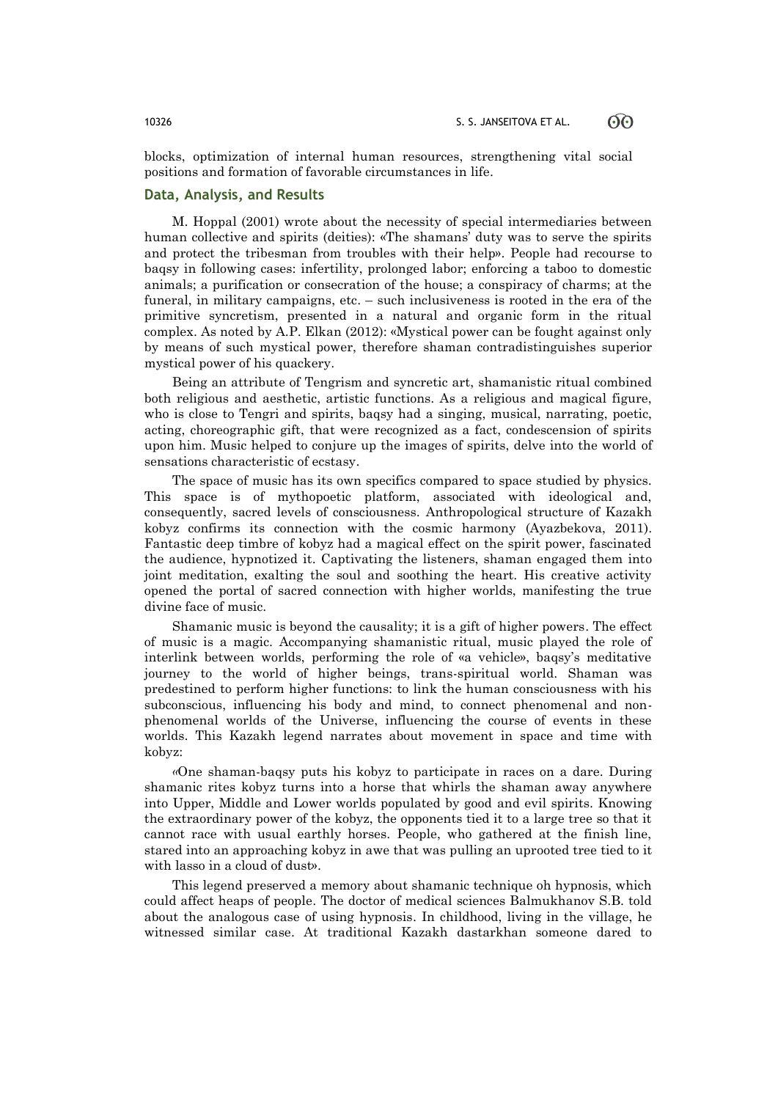blocks, optimization of internal human resources, strengthening vital social positions and formation of favorable circumstances in life.

# **Data, Analysis, and Results**

М. Hoppal (2001) wrote about the necessity of special intermediaries between human collective and spirits (deities): «The shamans' duty was to serve the spirits and protect the tribesman from troubles with their help». People had recourse to baqsy in following cases: infertility, prolonged labor; enforcing a taboo to domestic animals; a purification or consecration of the house; a conspiracy of charms; at the funeral, in military campaigns, etc. – such inclusiveness is rooted in the era of the primitive syncretism, presented in a natural and organic form in the ritual complex. As noted by A.Р. Elkаn (2012): «Mystical power can be fought against only by means of such mystical power, therefore shaman contradistinguishes superior mystical power of his quackery.

Being an attribute of Tengrism and syncretic art, shamanistic ritual combined both religious and aesthetic, artistic functions. As a religious and magical figure, who is close to Tengri and spirits, bagsy had a singing, musical, narrating, poetic, acting, choreographic gift, that were recognized as a fact, condescension of spirits upon him. Music helped to conjure up the images of spirits, delve into the world of sensations characteristic of ecstasy.

The space of music has its own specifics compared to space studied by physics. This space is of mythopoetic platform, associated with ideological and, consequently, sacred levels of consciousness. Anthropological structure of Kazakh kobyz confirms its connection with the cosmic harmony (Ayazbekova, 2011). Fantastic deep timbre of kobyz had a magical effect on the spirit power, fascinated the audience, hypnotized it. Captivating the listeners, shaman engaged them into joint meditation, exalting the soul and soothing the heart. His creative activity opened the portal of sacred connection with higher worlds, manifesting the true divine face of music.

Shamanic music is beyond the causality; it is a gift of higher powers. The effect of music is a magic. Accompanying shamanistic ritual, music played the role of interlink between worlds, performing the role of «a vehicle», baqsy's meditative journey to the world of higher beings, trans-spiritual world. Shaman was predestined to perform higher functions: to link the human consciousness with his subconscious, influencing his body and mind, to connect phenomenal and nonphenomenal worlds of the Universe, influencing the course of events in these worlds. This Kazakh legend narrates about movement in space and time with kobyz:

*«*One shaman-baqsy puts his kobyz to participate in races on a dare. During shamanic rites kobyz turns into a horse that whirls the shaman away anywhere into Upper, Middle and Lower worlds populated by good and evil spirits. Knowing the extraordinary power of the kobyz, the opponents tied it to a large tree so that it cannot race with usual earthly horses. People, who gathered at the finish line, stared into an approaching kobyz in awe that was pulling an uprooted tree tied to it with lasso in a cloud of dust».

This legend preserved a memory about shamanic technique oh hypnosis, which could affect heaps of people. The doctor of medical sciences Balmukhanov S.B. told about the analogous case of using hypnosis. In childhood, living in the village, he witnessed similar case. At traditional Kazakh dastarkhan someone dared to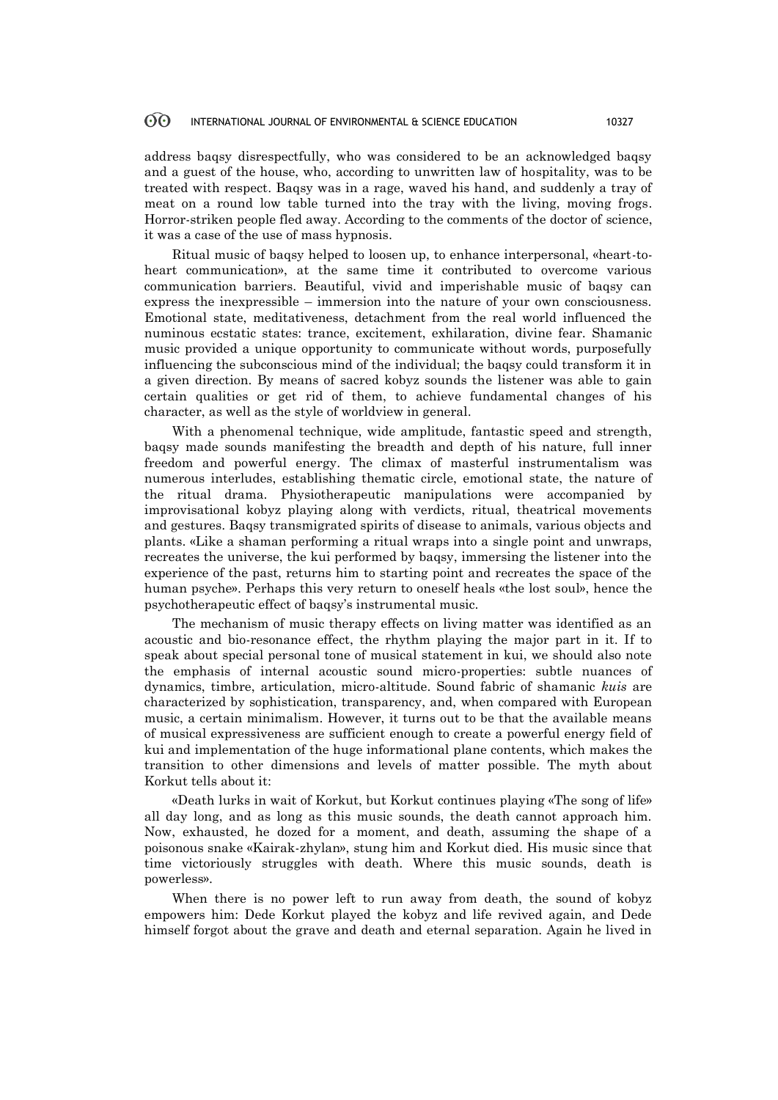address baqsy disrespectfully, who was considered to be an acknowledged baqsy and a guest of the house, who, according to unwritten law of hospitality, was to be treated with respect. Baqsy was in a rage, waved his hand, and suddenly a tray of meat on a round low table turned into the tray with the living, moving frogs. Horror-striken people fled away. According to the comments of the doctor of science, it was a case of the use of mass hypnosis.

Ritual music of baqsy helped to loosen up, to enhance interpersonal, «heart-toheart communication», at the same time it contributed to overcome various communication barriers. Beautiful, vivid and imperishable music of baqsy can express the inexpressible – immersion into the nature of your own consciousness. Emotional state, meditativeness, detachment from the real world influenced the numinous ecstatic states: trance, excitement, exhilaration, divine fear. Shamanic music provided a unique opportunity to communicate without words, purposefully influencing the subconscious mind of the individual; the baqsy could transform it in a given direction. By means of sacred kobyz sounds the listener was able to gain certain qualities or get rid of them, to achieve fundamental changes of his character, as well as the style of worldview in general.

With a phenomenal technique, wide amplitude, fantastic speed and strength, baqsy made sounds manifesting the breadth and depth of his nature, full inner freedom and powerful energy. The climax of masterful instrumentalism was numerous interludes, establishing thematic circle, emotional state, the nature of the ritual drama. Physiotherapeutic manipulations were accompanied by improvisational kobyz playing along with verdicts, ritual, theatrical movements and gestures. Baqsy transmigrated spirits of disease to animals, various objects and plants. «Like a shaman performing a ritual wraps into a single point and unwraps, recreates the universe, the kui performed by baqsy, immersing the listener into the experience of the past, returns him to starting point and recreates the space of the human psyche». Perhaps this very return to oneself heals «the lost soul», hence the psychotherapeutic effect of baqsy's instrumental music.

The mechanism of music therapy effects on living matter was identified as an acoustic and bio-resonance effect, the rhythm playing the major part in it. If to speak about special personal tone of musical statement in kui, we should also note the emphasis of internal acoustic sound micro-properties: subtle nuances of dynamics, timbre, articulation, micro-altitude. Sound fabric of shamanic *kuis* are characterized by sophistication, transparency, and, when compared with European music, a certain minimalism. However, it turns out to be that the available means of musical expressiveness are sufficient enough to create a powerful energy field of kui and implementation of the huge informational plane contents, which makes the transition to other dimensions and levels of matter possible. The myth about Korkut tells about it:

«Death lurks in wait of Korkut, but Korkut continues playing «The song of life» all day long, and as long as this music sounds, the death cannot approach him. Now, exhausted, he dozed for a moment, and death, assuming the shape of a poisonous snake «Kairak-zhylan», stung him and Korkut died. His music since that time victoriously struggles with death. Where this music sounds, death is powerless».

When there is no power left to run away from death, the sound of kobyz empowers him: Dede Korkut played the kobyz and life revived again, and Dede himself forgot about the grave and death and eternal separation. Again he lived in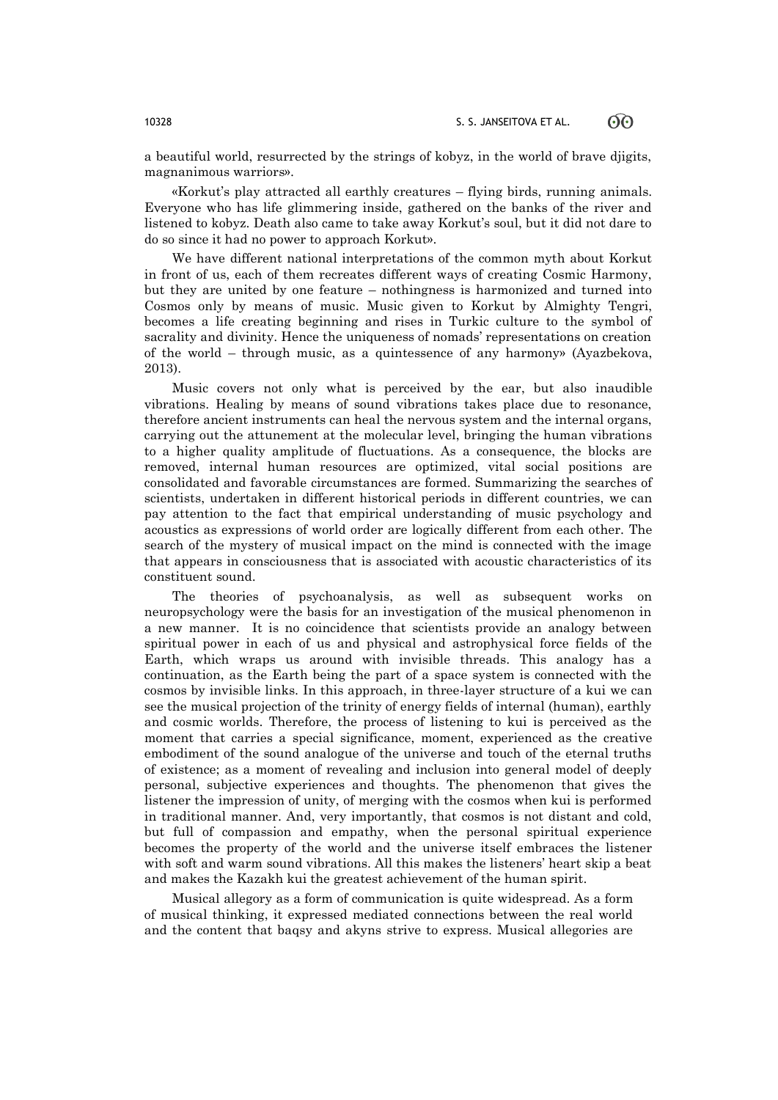a beautiful world, resurrected by the strings of kobyz, in the world of brave djigits, magnanimous warriors».

«Korkut's play attracted all earthly creatures – flying birds, running animals. Everyone who has life glimmering inside, gathered on the banks of the river and listened to kobyz. Death also came to take away Korkut's soul, but it did not dare to do so since it had no power to approach Korkut».

We have different national interpretations of the common myth about Korkut in front of us, each of them recreates different ways of creating Cosmic Harmony, but they are united by one feature – nothingness is harmonized and turned into Cosmos only by means of music. Music given to Korkut by Almighty Tengri, becomes a life creating beginning and rises in Turkic culture to the symbol of sacrality and divinity. Hence the uniqueness of nomads' representations on creation of the world – through music, as a quintessence of any harmony» (Ayazbekova, 2013).

Music covers not only what is perceived by the ear, but also inaudible vibrations. Healing by means of sound vibrations takes place due to resonance, therefore ancient instruments can heal the nervous system and the internal organs, carrying out the attunement at the molecular level, bringing the human vibrations to a higher quality amplitude of fluctuations. As a consequence, the blocks are removed, internal human resources are optimized, vital social positions are consolidated and favorable circumstances are formed. Summarizing the searches of scientists, undertaken in different historical periods in different countries, we can pay attention to the fact that empirical understanding of music psychology and acoustics as expressions of world order are logically different from each other. The search of the mystery of musical impact on the mind is connected with the image that appears in consciousness that is associated with acoustic characteristics of its constituent sound.

The theories of psychoanalysis, as well as subsequent works on neuropsychology were the basis for an investigation of the musical phenomenon in a new manner. It is no coincidence that scientists provide an analogy between spiritual power in each of us and physical and astrophysical force fields of the Earth, which wraps us around with invisible threads. This analogy has a continuation, as the Earth being the part of a space system is connected with the cosmos by invisible links. In this approach, in three-layer structure of a kui we can see the musical projection of the trinity of energy fields of internal (human), earthly and cosmic worlds. Therefore, the process of listening to kui is perceived as the moment that carries a special significance, moment, experienced as the creative embodiment of the sound analogue of the universe and touch of the eternal truths of existence; as a moment of revealing and inclusion into general model of deeply personal, subjective experiences and thoughts. The phenomenon that gives the listener the impression of unity, of merging with the cosmos when kui is performed in traditional manner. And, very importantly, that cosmos is not distant and cold, but full of compassion and empathy, when the personal spiritual experience becomes the property of the world and the universe itself embraces the listener with soft and warm sound vibrations. All this makes the listeners' heart skip a beat and makes the Kazakh kui the greatest achievement of the human spirit.

Musical allegory as a form of communication is quite widespread. As a form of musical thinking, it expressed mediated connections between the real world and the content that baqsy and akyns strive to express. Musical allegories are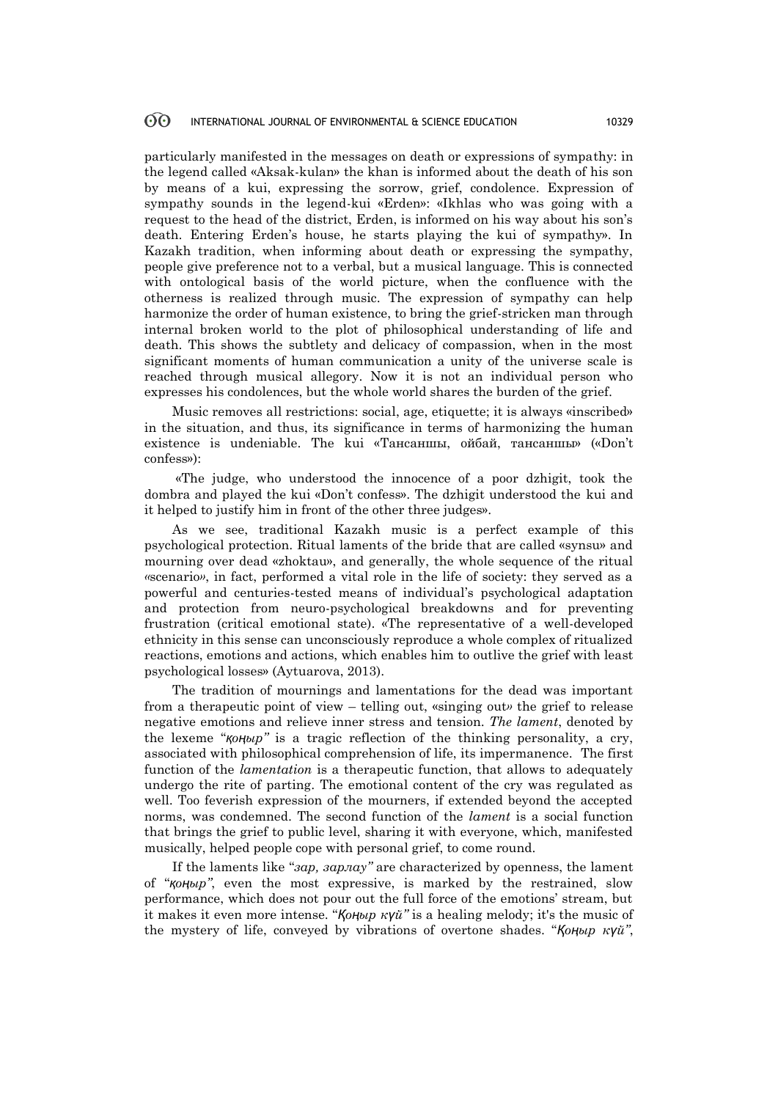particularly manifested in the messages on death or expressions of sympathy: in the legend called «Aksak-kulan» the khan is informed about the death of his son by means of a kui, expressing the sorrow, grief, condolence. Expression of sympathy sounds in the legend-kui «Erden»: «Ikhlas who was going with a request to the head of the district, Erden, is informed on his way about his son's death. Entering Erden's house, he starts playing the kui of sympathy». In Kazakh tradition, when informing about death or expressing the sympathy, people give preference not to a verbal, but a musical language. This is connected with ontological basis of the world picture, when the confluence with the otherness is realized through music. The expression of sympathy can help harmonize the order of human existence, to bring the grief-stricken man through internal broken world to the plot of philosophical understanding of life and death. This shows the subtlety and delicacy of compassion, when in the most significant moments of human communication a unity of the universe scale is reached through musical allegory. Now it is not an individual person who expresses his condolences, but the whole world shares the burden of the grief.

Music removes all restrictions: social, age, etiquette; it is always «inscribed» in the situation, and thus, its significance in terms of harmonizing the human existence is undeniable. The kui «Тансаншы, ойбай, тансаншы» («Don't confess»):

«The judge, who understood the innocence of a poor dzhigit, took the dombra and played the kui «Don't confess». The dzhigit understood the kui and it helped to justify him in front of the other three judges».

As we see, traditional Kazakh music is a perfect example of this psychological protection. Ritual laments of the bride that are called «synsu» and mourning over dead «zhoktau», and generally, the whole sequence of the ritual *«*scenario*»*, in fact, performed a vital role in the life of society: they served as a powerful and centuries-tested means of individual's psychological adaptation and protection from neuro-psychological breakdowns and for preventing frustration (critical emotional state). «The representative of a well-developed ethnicity in this sense can unconsciously reproduce a whole complex of ritualized reactions, emotions and actions, which enables him to outlive the grief with least psychological losses» (Aytuarova, 2013).

The tradition of mournings and lamentations for the dead was important from a therapeutic point of view – telling out, «singing out*»* the grief to release negative emotions and relieve inner stress and tension. *The lament*, denoted by the lexeme "*қоңыр"* is a tragic reflection of the thinking personality, a cry, associated with philosophical comprehension of life, its impermanence. The first function of the *lamentation* is a therapeutic function, that allows to adequately undergo the rite of parting. The emotional content of the cry was regulated as well. Too feverish expression of the mourners, if extended beyond the accepted norms, was condemned. The second function of the *lament* is a social function that brings the grief to public level, sharing it with everyone, which, manifested musically, helped people cope with personal grief, to come round.

If the laments like "*зар, зарлау"* are characterized by openness, the lament of "*қоңыр"*, even the most expressive, is marked by the restrained, slow performance, which does not pour out the full force of the emotions' stream, but it makes it even more intense. "*Қоңыр күй"* is a healing melody; it's the music of the mystery of life, conveyed by vibrations of overtone shades. "*Қоңыр күй"*,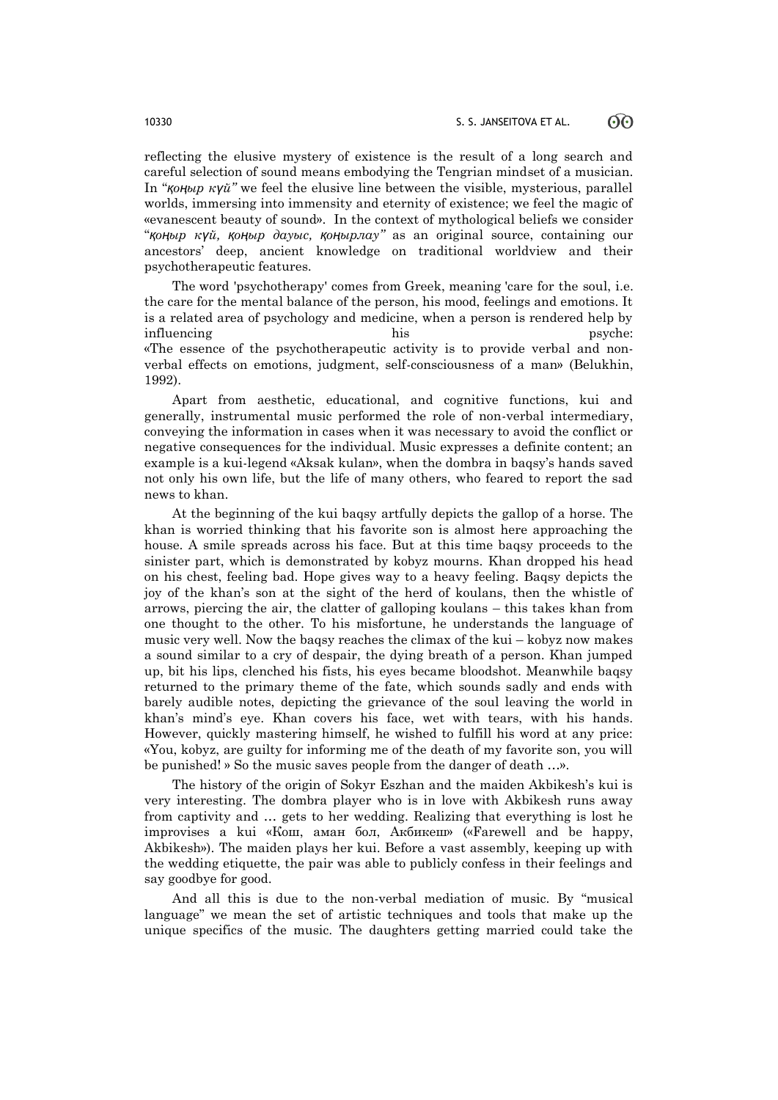reflecting the elusive mystery of existence is the result of a long search and careful selection of sound means embodying the Tengrian mindset of a musician. In "*қоңыр күй"* we feel the elusive line between the visible, mysterious, parallel worlds, immersing into immensity and eternity of existence; we feel the magic of «evanescent beauty of sound». In the context of mythological beliefs we consider "*қоңыр күй, қоңыр дауыс, қоңырлау"* as an original source, containing our ancestors' deep, ancient knowledge on traditional worldview and their psychotherapeutic features.

The word 'psychotherapy' comes from Greek, meaning 'care for the soul, i.е. the care for the mental balance of the person, his mood, feelings and emotions. It is a related area of psychology and medicine, when a person is rendered help by influencing his his psyche: «The essence of the psychotherapeutic activity is to provide verbal and nonverbal effects on emotions, judgment, self-consciousness of a man» (Belukhin, 1992).

Apart from aesthetic, educational, and cognitive functions, kui and generally, instrumental music performed the role of non-verbal intermediary, conveying the information in cases when it was necessary to avoid the conflict or negative consequences for the individual. Music expresses a definite content; an example is a kui-legend «Aksak kulan», when the dombra in baqsy's hands saved not only his own life, but the life of many others, who feared to report the sad news to khan.

At the beginning of the kui baqsy artfully depicts the gallop of a horse. The khan is worried thinking that his favorite son is almost here approaching the house. A smile spreads across his face. But at this time baqsy proceeds to the sinister part, which is demonstrated by kobyz mourns. Khan dropped his head on his chest, feeling bad. Hope gives way to a heavy feeling. Baqsy depicts the joy of the khan's son at the sight of the herd of koulans, then the whistle of arrows, piercing the air, the clatter of galloping koulans – this takes khan from one thought to the other. To his misfortune, he understands the language of music very well. Now the baqsy reaches the climax of the kui – kobyz now makes a sound similar to a cry of despair, the dying breath of a person. Khan jumped up, bit his lips, clenched his fists, his eyes became bloodshot. Meanwhile baqsy returned to the primary theme of the fate, which sounds sadly and ends with barely audible notes, depicting the grievance of the soul leaving the world in khan's mind's eye. Khan covers his face, wet with tears, with his hands. However, quickly mastering himself, he wished to fulfill his word at any price: «You, kobyz, are guilty for informing me of the death of my favorite son, you will be punished! » So the music saves people from the danger of death …».

The history of the origin of Sokyr Eszhan and the maiden Akbikesh's kui is very interesting. The dombra player who is in love with Akbikesh runs away from captivity and … gets to her wedding. Realizing that everything is lost he improvises a kui «Кош, аман бол, Акбикеш» («Farewell and be happy, Akbikesh»). The maiden plays her kui. Before a vast assembly, keeping up with the wedding etiquette, the pair was able to publicly confess in their feelings and say goodbye for good.

And all this is due to the non-verbal mediation of music. By "musical language" we mean the set of artistic techniques and tools that make up the unique specifics of the music. The daughters getting married could take the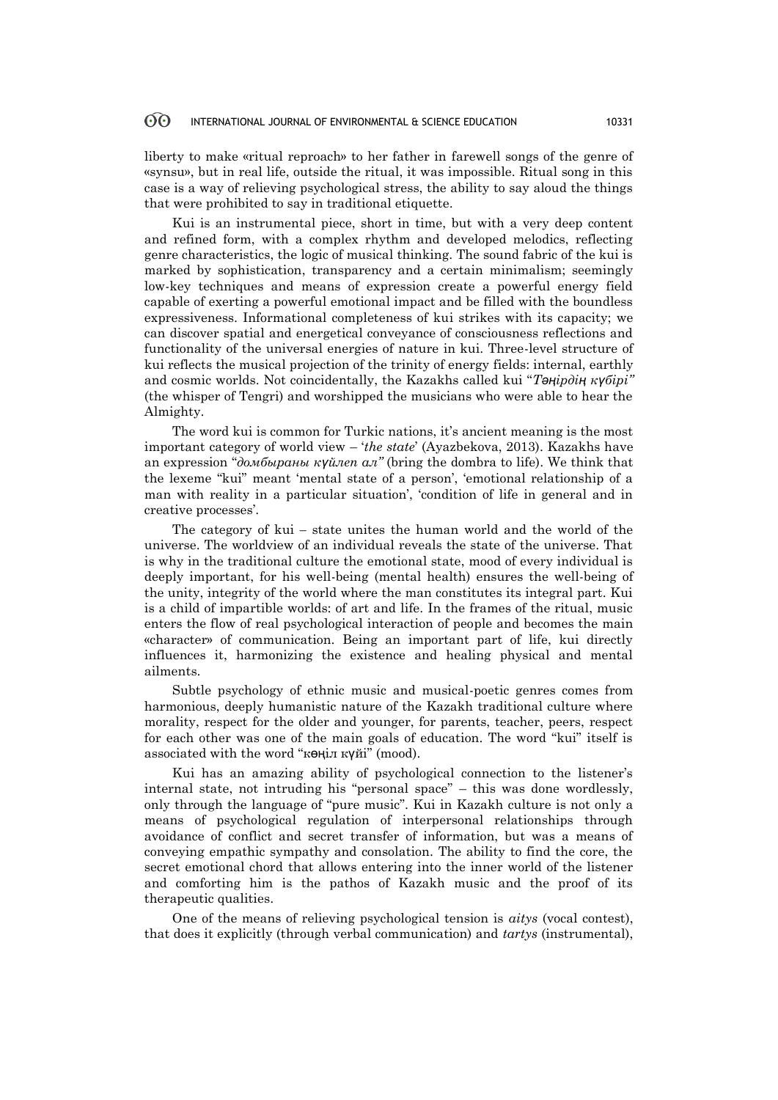liberty to make «ritual reproach» to her father in farewell songs of the genre of «synsu», but in real life, outside the ritual, it was impossible. Ritual song in this case is a way of relieving psychological stress, the ability to say aloud the things that were prohibited to say in traditional etiquette.

Kui is an instrumental piece, short in time, but with a very deep content and refined form, with a complex rhythm and developed melodics, reflecting genre characteristics, the logic of musical thinking. The sound fabric of the kui is marked by sophistication, transparency and a certain minimalism; seemingly low-key techniques and means of expression create a powerful energy field capable of exerting a powerful emotional impact and be filled with the boundless expressiveness. Informational completeness of kui strikes with its capacity; we can discover spatial and energetical conveyance of consciousness reflections and functionality of the universal energies of nature in kui. Three-level structure of kui reflects the musical projection of the trinity of energy fields: internal, earthly and cosmic worlds. Not coincidentally, the Kazakhs called kui "*Тәңiрдiң күбiрi"*  (the whisper of Tengri) and worshipped the musicians who were able to hear the Almighty.

The word kui is common for Turkic nations, it's ancient meaning is the most important category of world view – '*the state*' (Ayazbekova, 2013). Kazakhs have an expression "*домбыраны күйлеп ал"* (bring the dombra to life). We think that the lexeme "kui" meant 'mental state of a person', 'emotional relationship of a man with reality in a particular situation', 'condition of life in general and in creative processes'.

The category of kui *–* state unites the human world and the world of the universe. The worldview of an individual reveals the state of the universe. That is why in the traditional culture the emotional state, mood of every individual is deeply important, for his well-being (mental health) ensures the well-being of the unity, integrity of the world where the man constitutes its integral part. Kui is a child of impartible worlds: of art and life. In the frames of the ritual, music enters the flow of real psychological interaction of people and becomes the main «character» of communication. Being an important part of life, kui directly influences it, harmonizing the existence and healing physical and mental ailments.

Subtle psychology of ethnic music and musical-poetic genres comes from harmonious, deeply humanistic nature of the Kazakh traditional culture where morality, respect for the older and younger, for parents, teacher, peers, respect for each other was one of the main goals of education. The word "kui" itself is associated with the word "көңіл күйі" (mood).

Kui has an amazing ability of psychological connection to the listener's internal state, not intruding his "personal space" – this was done wordlessly, only through the language of "pure music". Kui in Kazakh culture is not only a means of psychological regulation of interpersonal relationships through avoidance of conflict and secret transfer of information, but was a means of conveying empathic sympathy and consolation. The ability to find the core, the secret emotional chord that allows entering into the inner world of the listener and comforting him is the pathos of Kazakh music and the proof of its therapeutic qualities.

One of the means of relieving psychological tension is *aitys* (vocal contest), that does it explicitly (through verbal communication) and *tartys* (instrumental),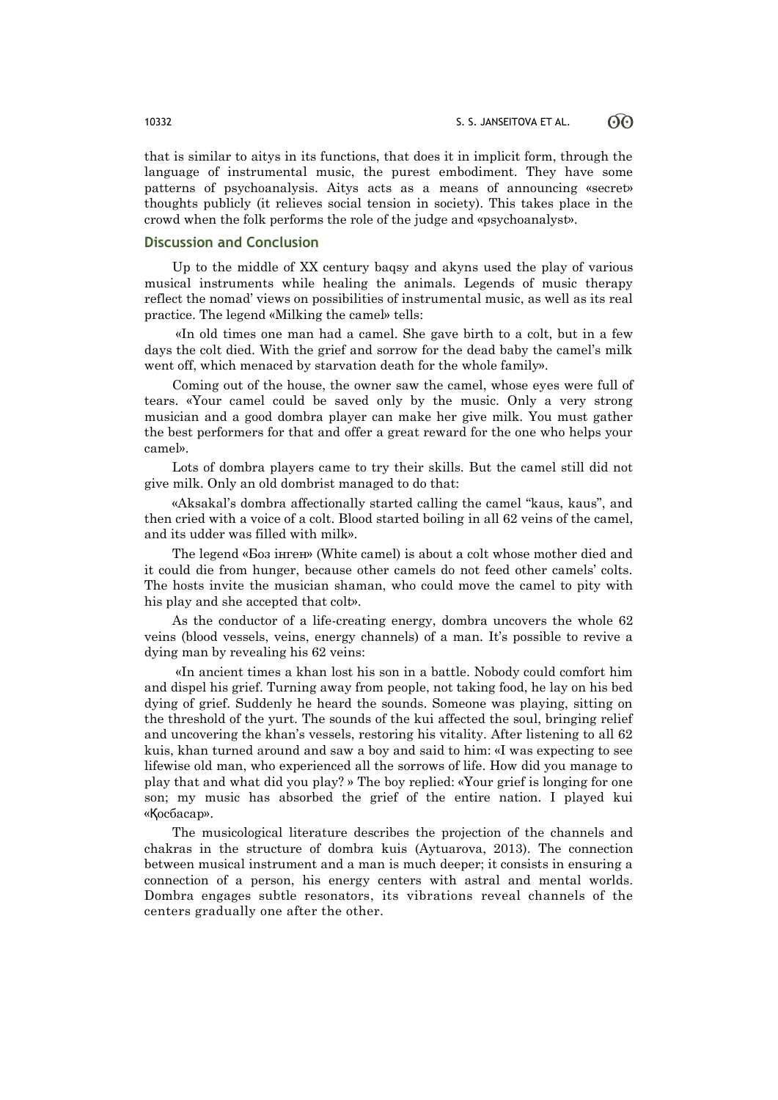that is similar to aitys in its functions, that does it in implicit form, through the language of instrumental music, the purest embodiment. They have some patterns of psychoanalysis. Aitys acts as a means of announcing «secret» thoughts publicly (it relieves social tension in society). This takes place in the crowd when the folk performs the role of the judge and «psychoanalyst».

# **Discussion and Conclusion**

Up to the middle of ХХ century baqsy and akyns used the play of various musical instruments while healing the animals. Legends of music therapy reflect the nomad' views on possibilities of instrumental music, as well as its real practice. The legend «Milking the camel» tells:

«In old times one man had a camel. She gave birth to a colt, but in a few days the colt died. With the grief and sorrow for the dead baby the camel's milk went off, which menaced by starvation death for the whole family».

Coming out of the house, the owner saw the camel, whose eyes were full of tears. «Your camel could be saved only by the music. Only a very strong musician and a good dombra player can make her give milk. You must gather the best performers for that and offer a great reward for the one who helps your camel».

Lots of dombra players came to try their skills. But the camel still did not give milk. Only an old dombrist managed to do that:

«Aksakal's dombra affectionally started calling the camel "kaus, kaus", and then cried with a voice of a colt. Blood started boiling in all 62 veins of the camel, and its udder was filled with milk».

The legend «Боз iнген» (White camel) is about a colt whose mother died and it could die from hunger, because other camels do not feed other camels' colts. The hosts invite the musician shaman, who could move the camel to pity with his play and she accepted that colt».

As the conductor of a life-creating energy, dombra uncovers the whole 62 veins (blood vessels, veins, energy channels) of a man. It's possible to revive a dying man by revealing his 62 veins:

«In ancient times a khan lost his son in a battle. Nobody could comfort him and dispel his grief. Turning away from people, not taking food, he lay on his bed dying of grief. Suddenly he heard the sounds. Someone was playing, sitting on the threshold of the yurt. The sounds of the kui affected the soul, bringing relief and uncovering the khan's vessels, restoring his vitality. After listening to all 62 kuis, khan turned around and saw a boy and said to him: «I was expecting to see lifewise old man, who experienced all the sorrows of life. How did you manage to play that and what did you play? » The boy replied: «Your grief is longing for one son; my music has absorbed the grief of the entire nation. I played kui «Қосбасар».

The musicological literature describes the projection of the channels and chakras in the structure of dombra kuis (Aytuarova, 2013). The connection between musical instrument and a man is much deeper; it consists in ensuring a connection of a person, his energy centers with astral and mental worlds. Dombra engages subtle resonators, its vibrations reveal channels of the centers gradually one after the other.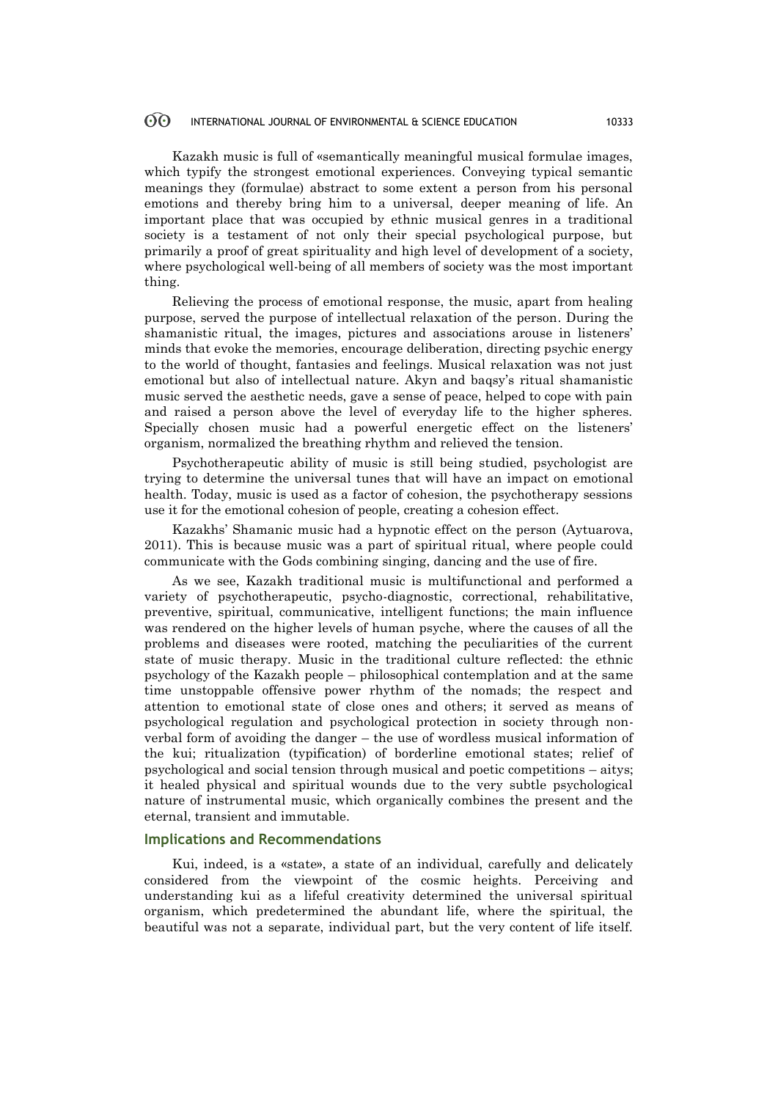Kazakh music is full of «semantically meaningful musical formulae images, which typify the strongest emotional experiences. Conveying typical semantic meanings they (formulae) abstract to some extent a person from his personal emotions and thereby bring him to a universal, deeper meaning of life. An important place that was occupied by ethnic musical genres in a traditional society is a testament of not only their special psychological purpose, but primarily a proof of great spirituality and high level of development of a society, where psychological well-being of all members of society was the most important thing.

Relieving the process of emotional response, the music, apart from healing purpose, served the purpose of intellectual relaxation of the person. During the shamanistic ritual, the images, pictures and associations arouse in listeners' minds that evoke the memories, encourage deliberation, directing psychic energy to the world of thought, fantasies and feelings. Musical relaxation was not just emotional but also of intellectual nature. Akyn and baqsy's ritual shamanistic music served the aesthetic needs, gave a sense of peace, helped to cope with pain and raised a person above the level of everyday life to the higher spheres. Specially chosen music had a powerful energetic effect on the listeners' organism, normalized the breathing rhythm and relieved the tension.

Psychotherapeutic ability of music is still being studied, psychologist are trying to determine the universal tunes that will have an impact on emotional health. Today, music is used as a factor of cohesion, the psychotherapy sessions use it for the emotional cohesion of people, creating a cohesion effect.

Kazakhs' Shamanic music had a hypnotic effect on the person (Aytuarova, 2011). This is because music was a part of spiritual ritual, where people could communicate with the Gods combining singing, dancing and the use of fire.

As we see, Kazakh traditional music is multifunctional and performed a variety of psychotherapeutic, psycho-diagnostic, correctional, rehabilitative, preventive, spiritual, communicative, intelligent functions; the main influence was rendered on the higher levels of human psyche, where the causes of all the problems and diseases were rooted, matching the peculiarities of the current state of music therapy. Music in the traditional culture reflected: the ethnic psychology of the Kazakh people – philosophical contemplation and at the same time unstoppable offensive power rhythm of the nomads; the respect and attention to emotional state of close ones and others; it served as means of psychological regulation and psychological protection in society through nonverbal form of avoiding the danger – the use of wordless musical information of the kui; ritualization (typification) of borderline emotional states; relief of psychological and social tension through musical and poetic competitions – aitys; it healed physical and spiritual wounds due to the very subtle psychological nature of instrumental music, which organically combines the present and the eternal, transient and immutable.

# **Implications and Recommendations**

Kui, indeed, is a «state», a state of an individual, carefully and delicately considered from the viewpoint of the cosmic heights. Perceiving and understanding kui as a lifeful creativity determined the universal spiritual organism, which predetermined the abundant life, where the spiritual, the beautiful was not a separate, individual part, but the very content of life itself.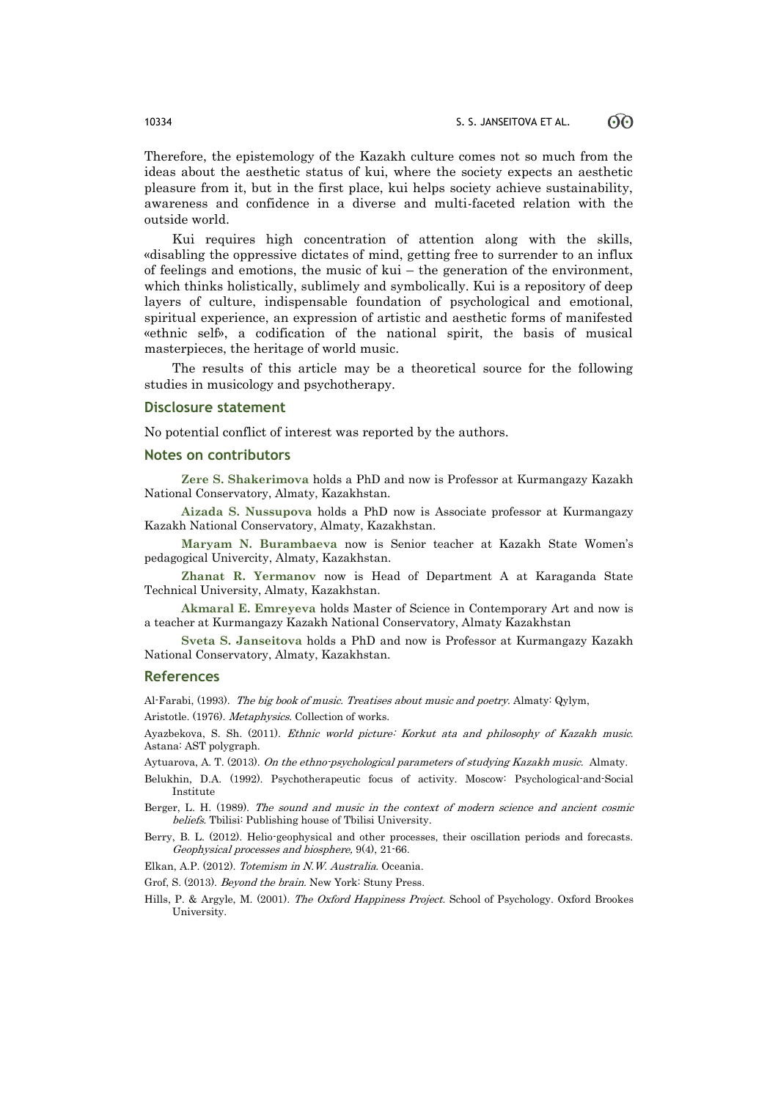Therefore, the epistemology of the Kazakh culture comes not so much from the ideas about the aesthetic status of kui, where the society expects an aesthetic pleasure from it, but in the first place, kui helps society achieve sustainability, awareness and confidence in a diverse and multi-faceted relation with the outside world.

Kui requires high concentration of attention along with the skills, «disabling the oppressive dictates of mind, getting free to surrender to an influx of feelings and emotions, the music of kui – the generation of the environment, which thinks holistically, sublimely and symbolically. Kui is a repository of deep layers of culture, indispensable foundation of psychological and emotional, spiritual experience, an expression of artistic and aesthetic forms of manifested «ethnic self», a codification of the national spirit, the basis of musical masterpieces, the heritage of world music.

The results of this article may be a theoretical source for the following studies in musicology and psychotherapy.

### **Disclosure statement**

No potential conflict of interest was reported by the authors.

### **Notes on contributors**

**Zere S. Shakerimova** holds a PhD and now is Professor at Kurmangazy Kazakh National Conservatory, Almaty, [Kazakhstan.](https://en.wikipedia.org/wiki/Kazakhstan)

**Aizada S. Nussupova** holds a PhD now is Associate professor at Kurmangazy Kazakh National Conservatory, Almaty, Kazakhstan.

**Maryam N. Burambaeva** now is Senior teacher at Kazakh State Women's pedagogical Univercity, Almaty, [Kazakhstan.](https://en.wikipedia.org/wiki/Kazakhstan)

**Zhanat R. Yermanov** now is Head of Department A at Karaganda State Technical University, Almaty, [Kazakhstan.](https://en.wikipedia.org/wiki/Kazakhstan)

**Akmaral E. Emreyeva** holds Master of Science in Contemporary Art and now is a teacher at Kurmangazy Kazakh National Conservatory, Almaty Kazakhstan

**Sveta S. Janseitova** holds a PhD and now is Professor at Kurmangazy Kazakh National Conservatory, Almaty, [Kazakhstan.](https://en.wikipedia.org/wiki/Kazakhstan)

### **References**

Al-Farabi, (1993). The big book of music. Treatises about music and poetry. Almaty: Qylym,

Aristotle. (1976). Metaphysics. Collection of works.

Ayazbekova, S. Sh. (2011). Ethnic world picture: Korkut ata and philosophy of Kazakh music. Astana: AST polygraph.

Aytuarova, A. T. (2013). On the ethno-psychological parameters of studying Kazakh music. Almaty.

Belukhin, D.А. (1992). Psychotherapeutic focus of activity. Moscow: Psychological-and-Social Institute

Berger, L. H. (1989). The sound and music in the context of modern science and ancient cosmic beliefs. Tbilisi: Publishing house of Tbilisi University.

Berry, B. L. (2012). Helio-geophysical and other processes, their oscillation periods and forecasts. Geophysical processes and biosphere, 9(4), 21-66.

Elkаn, А.Р. (2012). Totemism in N.W. Australia. Oceania.

Grof, S. (2013). Beyond the brain. New York: Stuny Press.

Hills, P. & Argyle, M. (2001). The Oxford Happiness Project. School of Psychology. Oxford Brookes University.